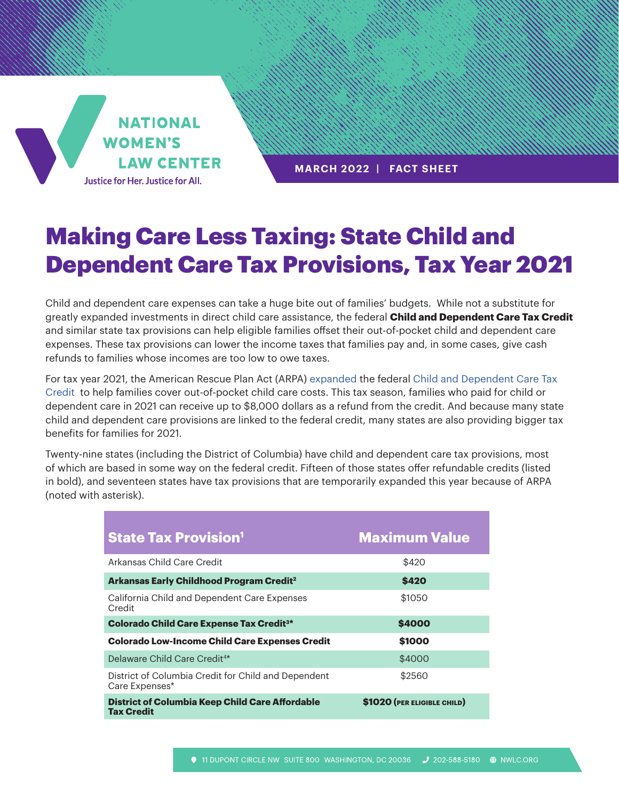

**MARCH 2022 | FACT SHEET**

## Making Care Less Taxing: State Child and Dependent Care Tax Provisions, Tax Year 2021

Child and dependent care expenses can take a huge bite out of families' budgets. While not a substitute for greatly expanded investments in direct child care assistance, the federal **Child and Dependent Care Tax Credit**  and similar state tax provisions can help eligible families offset their out-of-pocket child and dependent care expenses. These tax provisions can lower the income taxes that families pay and, in some cases, give cash refunds to families whose incomes are too low to owe taxes.

For tax year 2021, the American Rescue Plan Act (ARPA) [expanded t](https://nwlc.org/resource/improving-the-child-and-dependent-care-tax-credit-would-help-working-families-with-the-high-cost-of-child-care-2/)he federal [Child and Dependent Care Tax](https://www.irs.gov/newsroom/child-and-dependent-care-credit-faqs)  [Credit](https://www.irs.gov/newsroom/child-and-dependent-care-credit-faqs) to help families cover out-of-pocket child care costs. This tax season, families who paid for child or dependent care in 2021 can receive up to \$8,000 dollars as a refund from the credit. And because many state child and dependent care provisions are linked to the federal credit, many states are also providing bigger tax benefits for families for 2021.

Twenty-nine states (including the District of Columbia) have child and dependent care tax provisions, most of which are based in some way on the federal credit. Fifteen of those states offer refundable credits (listed in bold), and seventeen states have tax provisions that are temporarily expanded this year because of ARPA (noted with asterisk).

| <b>State Tax Provision<sup>1</sup></b>                                      | <b>Maximum Value</b>        |
|-----------------------------------------------------------------------------|-----------------------------|
| Arkansas Child Care Credit                                                  | \$420                       |
| <b>Arkansas Early Childhood Program Credit<sup>2</sup></b>                  | \$420                       |
| California Child and Dependent Care Expenses<br>Credit                      | \$1050                      |
| <b>Colorado Child Care Expense Tax Credit<sup>3*</sup></b>                  | \$4000                      |
| <b>Colorado Low-Income Child Care Expenses Credit</b>                       | \$1000                      |
| Delaware Child Care Credit <sup>4*</sup>                                    | \$4000                      |
| District of Columbia Credit for Child and Dependent<br>Care Expenses*       | \$2560                      |
| <b>District of Columbia Keep Child Care Affordable</b><br><b>Tax Credit</b> | \$1020 (PER ELIGIBLE CHILD) |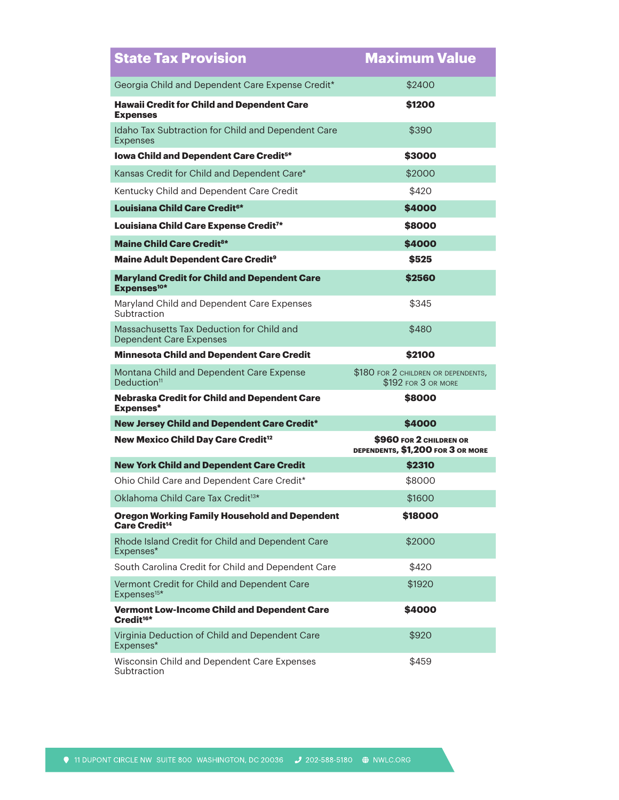| <b>State Tax Provision</b>                                                                                 | <b>Maximum Value</b>                                         |
|------------------------------------------------------------------------------------------------------------|--------------------------------------------------------------|
| Georgia Child and Dependent Care Expense Credit*                                                           | \$2400                                                       |
| <b>Hawaii Credit for Child and Dependent Care</b><br><b>Expenses</b>                                       | \$1200                                                       |
| Idaho Tax Subtraction for Child and Dependent Care<br><b>Expenses</b>                                      | \$390                                                        |
| Iowa Child and Dependent Care Credit <sup>5*</sup>                                                         | \$3000                                                       |
| Kansas Credit for Child and Dependent Care*                                                                | \$2000                                                       |
| Kentucky Child and Dependent Care Credit                                                                   | \$420                                                        |
| Louisiana Child Care Credit <sup>6*</sup>                                                                  | \$4000                                                       |
| Louisiana Child Care Expense Credit <sup>7*</sup>                                                          | \$8000                                                       |
| <b>Maine Child Care Credit<sup>8*</sup></b>                                                                | \$4000                                                       |
| Maine Adult Dependent Care Credit <sup>9</sup>                                                             | \$525                                                        |
| <b>Maryland Credit for Child and Dependent Care</b><br>Expenses <sup>10*</sup>                             | \$2560                                                       |
| Maryland Child and Dependent Care Expenses<br>Subtraction                                                  | \$345                                                        |
| Massachusetts Tax Deduction for Child and<br><b>Dependent Care Expenses</b>                                | \$480                                                        |
| <b>Minnesota Child and Dependent Care Credit</b>                                                           | \$2100                                                       |
| Montana Child and Dependent Care Expense<br>Deduction <sup>11</sup>                                        | \$180 FOR 2 CHILDREN OR DEPENDENTS,<br>\$192 FOR 3 OR MORE   |
| <b>Nebraska Credit for Child and Dependent Care</b><br><b>Expenses*</b>                                    | \$8000                                                       |
| <b>New Jersey Child and Dependent Care Credit*</b>                                                         | \$4000                                                       |
|                                                                                                            |                                                              |
| <b>New Mexico Child Day Care Credit<sup>12</sup></b>                                                       | \$960 FOR 2 CHILDREN OR<br>DEPENDENTS, \$1,200 FOR 3 OR MORE |
| <b>New York Child and Dependent Care Credit</b>                                                            | \$2310                                                       |
| Ohio Child Care and Dependent Care Credit*                                                                 | \$8000                                                       |
| Oklahoma Child Care Tax Credit <sup>13*</sup>                                                              | \$1600                                                       |
| <b>Oregon Working Family Household and Dependent</b><br>Care Credit <sup>14</sup>                          | \$18000                                                      |
| Rhode Island Credit for Child and Dependent Care<br>Expenses*                                              | \$2000                                                       |
| South Carolina Credit for Child and Dependent Care                                                         | \$420                                                        |
| Vermont Credit for Child and Dependent Care<br>Expenses <sup>15*</sup>                                     | \$1920                                                       |
| <b>Vermont Low-Income Child and Dependent Care</b><br>Credit <sup>16*</sup>                                | \$4000                                                       |
| Virginia Deduction of Child and Dependent Care<br>Expenses*<br>Wisconsin Child and Dependent Care Expenses | \$920                                                        |